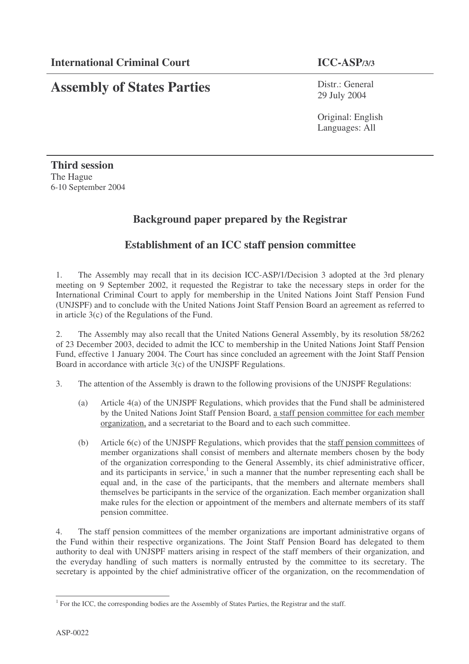# **Assembly of States Parties**

Distr.: General 29 July 2004

Original: English Languages: All

**Third session** The Hague 6-10 September 2004

## **Background paper prepared by the Registrar**

## **Establishment of an ICC staff pension committee**

1. The Assembly may recall that in its decision ICC-ASP/1/Decision 3 adopted at the 3rd plenary meeting on 9 September 2002, it requested the Registrar to take the necessary steps in order for the International Criminal Court to apply for membership in the United Nations Joint Staff Pension Fund (UNJSPF) and to conclude with the United Nations Joint Staff Pension Board an agreement as referred to in article 3(c) of the Regulations of the Fund.

2. The Assembly may also recall that the United Nations General Assembly, by its resolution 58/262 of 23 December 2003, decided to admit the ICC to membership in the United Nations Joint Staff Pension Fund, effective 1 January 2004. The Court has since concluded an agreement with the Joint Staff Pension Board in accordance with article 3(c) of the UNJSPF Regulations.

3. The attention of the Assembly is drawn to the following provisions of the UNJSPF Regulations:

- (a) Article 4(a) of the UNJSPF Regulations, which provides that the Fund shall be administered by the United Nations Joint Staff Pension Board, a staff pension committee for each member organization, and a secretariat to the Board and to each such committee.
- (b) Article 6(c) of the UNJSPF Regulations, which provides that the staff pension committees of member organizations shall consist of members and alternate members chosen by the body of the organization corresponding to the General Assembly, its chief administrative officer, and its participants in service, $\frac{1}{1}$  in such a manner that the number representing each shall be equal and, in the case of the participants, that the members and alternate members shall themselves be participants in the service of the organization. Each member organization shall make rules for the election or appointment of the members and alternate members of its staff pension committee.

4. The staff pension committees of the member organizations are important administrative organs of the Fund within their respective organizations. The Joint Staff Pension Board has delegated to them authority to deal with UNJSPF matters arising in respect of the staff members of their organization, and the everyday handling of such matters is normally entrusted by the committee to its secretary. The secretary is appointed by the chief administrative officer of the organization, on the recommendation of

<sup>&</sup>lt;sup>1</sup> For the ICC, the corresponding bodies are the Assembly of States Parties, the Registrar and the staff.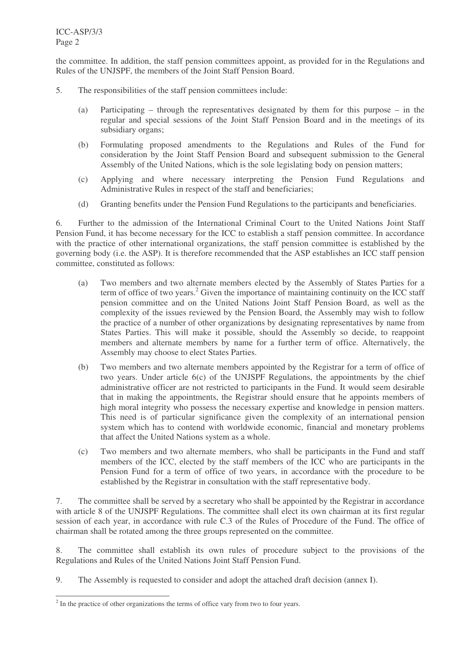the committee. In addition, the staff pension committees appoint, as provided for in the Regulations and Rules of the UNJSPF, the members of the Joint Staff Pension Board.

- 5. The responsibilities of the staff pension committees include:
	- (a) Participating through the representatives designated by them for this purpose in the regular and special sessions of the Joint Staff Pension Board and in the meetings of its subsidiary organs;
	- (b) Formulating proposed amendments to the Regulations and Rules of the Fund for consideration by the Joint Staff Pension Board and subsequent submission to the General Assembly of the United Nations, which is the sole legislating body on pension matters;
	- (c) Applying and where necessary interpreting the Pension Fund Regulations and Administrative Rules in respect of the staff and beneficiaries;
	- (d) Granting benefits under the Pension Fund Regulations to the participants and beneficiaries.

6. Further to the admission of the International Criminal Court to the United Nations Joint Staff Pension Fund, it has become necessary for the ICC to establish a staff pension committee. In accordance with the practice of other international organizations, the staff pension committee is established by the governing body (i.e. the ASP). It is therefore recommended that the ASP establishes an ICC staff pension committee, constituted as follows:

- (a) Two members and two alternate members elected by the Assembly of States Parties for a term of office of two years. <sup>2</sup> Given the importance of maintaining continuity on the ICC staff pension committee and on the United Nations Joint Staff Pension Board, as well as the complexity of the issues reviewed by the Pension Board, the Assembly may wish to follow the practice of a number of other organizations by designating representatives by name from States Parties. This will make it possible, should the Assembly so decide, to reappoint members and alternate members by name for a further term of office. Alternatively, the Assembly may choose to elect States Parties.
- (b) Two members and two alternate members appointed by the Registrar for a term of office of two years. Under article 6(c) of the UNJSPF Regulations, the appointments by the chief administrative officer are not restricted to participants in the Fund. It would seem desirable that in making the appointments, the Registrar should ensure that he appoints members of high moral integrity who possess the necessary expertise and knowledge in pension matters. This need is of particular significance given the complexity of an international pension system which has to contend with worldwide economic, financial and monetary problems that affect the United Nations system as a whole.
- (c) Two members and two alternate members, who shall be participants in the Fund and staff members of the ICC, elected by the staff members of the ICC who are participants in the Pension Fund for a term of office of two years, in accordance with the procedure to be established by the Registrar in consultation with the staff representative body.

7. The committee shall be served by a secretary who shall be appointed by the Registrar in accordance with article 8 of the UNJSPF Regulations. The committee shall elect its own chairman at its first regular session of each year, in accordance with rule C.3 of the Rules of Procedure of the Fund. The office of chairman shall be rotated among the three groups represented on the committee.

8. The committee shall establish its own rules of procedure subject to the provisions of the Regulations and Rules of the United Nations Joint Staff Pension Fund.

9. The Assembly is requested to consider and adopt the attached draft decision (annex I).

 $2<sup>2</sup>$  In the practice of other organizations the terms of office vary from two to four years.